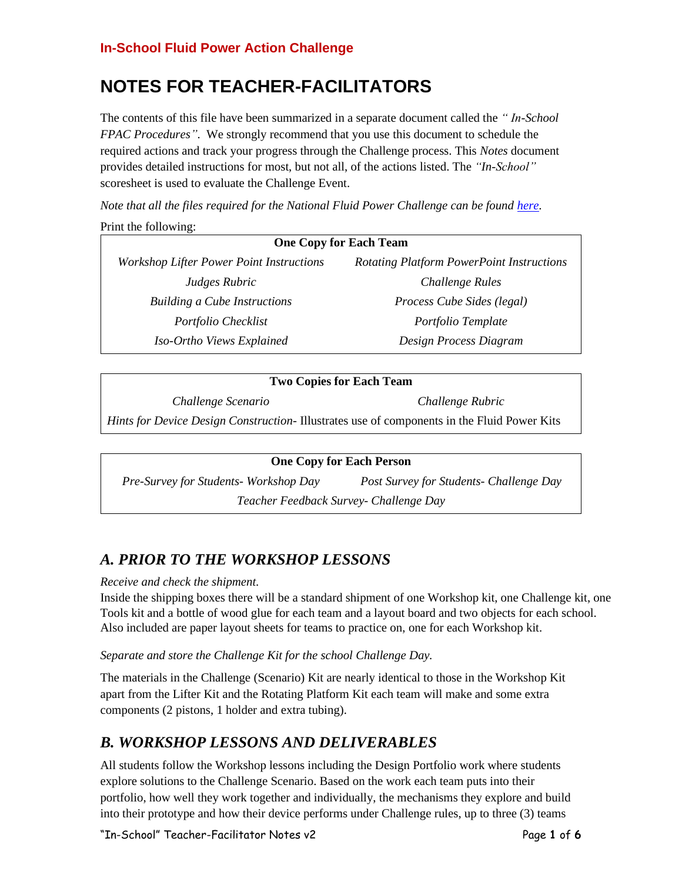## **In-School Fluid Power Action Challenge**

# **NOTES FOR TEACHER-FACILITATORS**

The contents of this file have been summarized in a separate document called the *" In-School FPAC Procedures"*. We strongly recommend that you use this document to schedule the required actions and track your progress through the Challenge process. This *Notes* document provides detailed instructions for most, but not all, of the actions listed. The *"In-School"* scoresheet is used to evaluate the Challenge Event.

*Note that all the files required for the National Fluid Power Challenge can be found [here.](http://www.nfpahub.com/fpc/resources/#!/event/25)* Print the following:

| <b>One Copy for Each Team</b>                   |  |                                                  |
|-------------------------------------------------|--|--------------------------------------------------|
| <b>Workshop Lifter Power Point Instructions</b> |  | <b>Rotating Platform PowerPoint Instructions</b> |
| Judges Rubric                                   |  | Challenge Rules                                  |
| <b>Building a Cube Instructions</b>             |  | Process Cube Sides (legal)                       |
| Portfolio Checklist                             |  | Portfolio Template                               |
| Iso-Ortho Views Explained                       |  | Design Process Diagram                           |

### **Two Copies for Each Team**

*Challenge Scenario Challenge Rubric*

*Hints for Device Design Construction-* Illustrates use of components in the Fluid Power Kits

### **One Copy for Each Person**

*Pre-Survey for Students- Workshop Day Post Survey for Students- Challenge Day Teacher Feedback Survey- Challenge Day*

## *A. PRIOR TO THE WORKSHOP LESSONS*

### *Receive and check the shipment.*

Inside the shipping boxes there will be a standard shipment of one Workshop kit, one Challenge kit, one Tools kit and a bottle of wood glue for each team and a layout board and two objects for each school. Also included are paper layout sheets for teams to practice on, one for each Workshop kit.

## *Separate and store the Challenge Kit for the school Challenge Day.*

The materials in the Challenge (Scenario) Kit are nearly identical to those in the Workshop Kit apart from the Lifter Kit and the Rotating Platform Kit each team will make and some extra components (2 pistons, 1 holder and extra tubing).

## *B. WORKSHOP LESSONS AND DELIVERABLES*

All students follow the Workshop lessons including the Design Portfolio work where students explore solutions to the Challenge Scenario. Based on the work each team puts into their portfolio, how well they work together and individually, the mechanisms they explore and build into their prototype and how their device performs under Challenge rules, up to three (3) teams

"In-School" Teacher-Facilitator Notes v2 Page **1** of **6**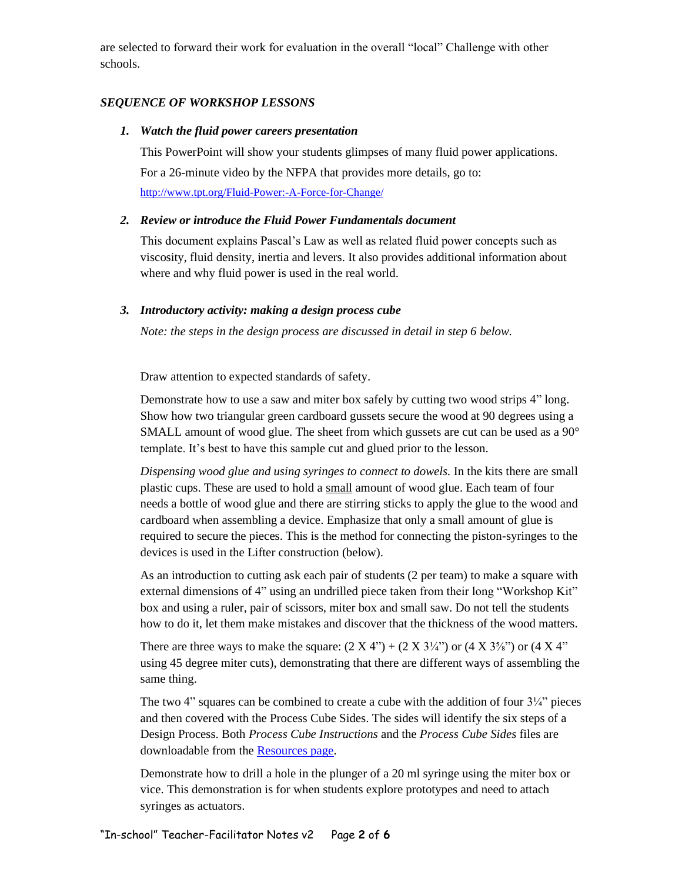are selected to forward their work for evaluation in the overall "local" Challenge with other schools.

## *SEQUENCE OF WORKSHOP LESSONS*

### *1. Watch the fluid power careers presentation*

This PowerPoint will show your students glimpses of many fluid power applications. For a 26-minute video by the NFPA that provides more details, go to: <http://www.tpt.org/Fluid-Power:-A-Force-for-Change/>

## *2. Review or introduce the Fluid Power Fundamentals document*

This document explains Pascal's Law as well as related fluid power concepts such as viscosity, fluid density, inertia and levers. It also provides additional information about where and why fluid power is used in the real world.

## *3. Introductory activity: making a design process cube*

*Note: the steps in the design process are discussed in detail in step 6 below.*

Draw attention to expected standards of safety.

Demonstrate how to use a saw and miter box safely by cutting two wood strips 4" long. Show how two triangular green cardboard gussets secure the wood at 90 degrees using a SMALL amount of wood glue. The sheet from which gussets are cut can be used as a 90° template. It's best to have this sample cut and glued prior to the lesson.

*Dispensing wood glue and using syringes to connect to dowels.* In the kits there are small plastic cups. These are used to hold a small amount of wood glue. Each team of four needs a bottle of wood glue and there are stirring sticks to apply the glue to the wood and cardboard when assembling a device. Emphasize that only a small amount of glue is required to secure the pieces. This is the method for connecting the piston-syringes to the devices is used in the Lifter construction (below).

As an introduction to cutting ask each pair of students (2 per team) to make a square with external dimensions of 4" using an undrilled piece taken from their long "Workshop Kit" box and using a ruler, pair of scissors, miter box and small saw. Do not tell the students how to do it, let them make mistakes and discover that the thickness of the wood matters.

There are three ways to make the square:  $(2 \text{ X } 4)$  +  $(2 \text{ X } 3\frac{1}{4})$  or  $(4 \text{ X } 3\frac{5}{8})$  or  $(4 \text{ X } 4)$ using 45 degree miter cuts), demonstrating that there are different ways of assembling the same thing.

The two 4" squares can be combined to create a cube with the addition of four  $3\frac{1}{4}$ " pieces and then covered with the Process Cube Sides. The sides will identify the six steps of a Design Process. Both *Process Cube Instructions* and the *Process Cube Sides* files are downloadable from the [Resources page.](http://www.nfpahub.com/fpc/resources/#!/event/25)

Demonstrate how to drill a hole in the plunger of a 20 ml syringe using the miter box or vice. This demonstration is for when students explore prototypes and need to attach syringes as actuators.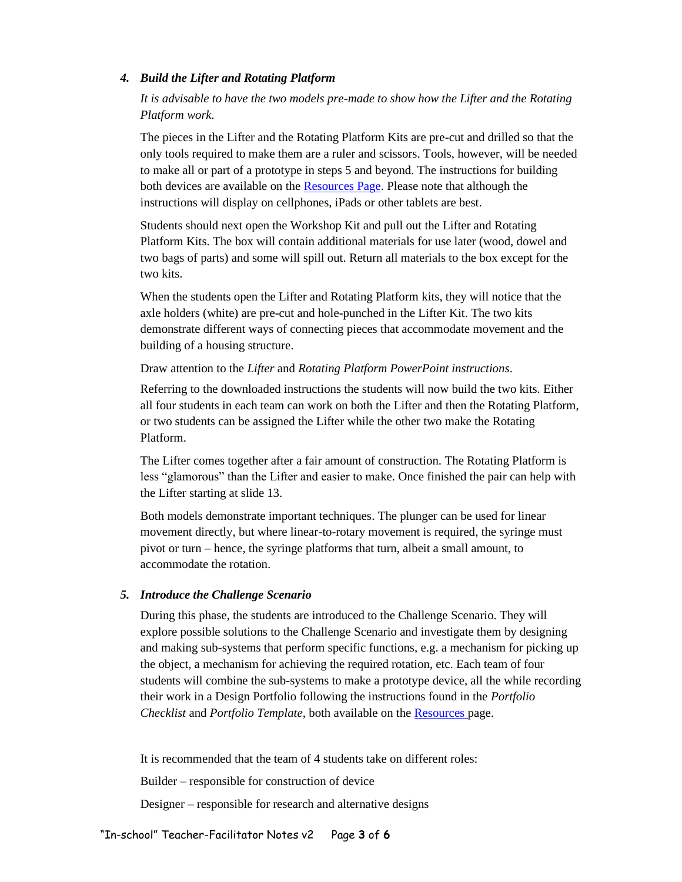#### *4. Build the Lifter and Rotating Platform*

*It is advisable to have the two models pre-made to show how the Lifter and the Rotating Platform work.* 

The pieces in the Lifter and the Rotating Platform Kits are pre-cut and drilled so that the only tools required to make them are a ruler and scissors. Tools, however, will be needed to make all or part of a prototype in steps 5 and beyond. The instructions for building both devices are available on th[e Resources Page.](http://www.nfpahub.com/fpc/resources/#!/event/25) Please note that although the instructions will display on cellphones, iPads or other tablets are best.

Students should next open the Workshop Kit and pull out the Lifter and Rotating Platform Kits. The box will contain additional materials for use later (wood, dowel and two bags of parts) and some will spill out. Return all materials to the box except for the two kits.

When the students open the Lifter and Rotating Platform kits, they will notice that the axle holders (white) are pre-cut and hole-punched in the Lifter Kit. The two kits demonstrate different ways of connecting pieces that accommodate movement and the building of a housing structure.

#### Draw attention to the *Lifter* and *Rotating Platform PowerPoint instructions*.

Referring to the downloaded instructions the students will now build the two kits. Either all four students in each team can work on both the Lifter and then the Rotating Platform, or two students can be assigned the Lifter while the other two make the Rotating Platform.

The Lifter comes together after a fair amount of construction. The Rotating Platform is less "glamorous" than the Lifter and easier to make. Once finished the pair can help with the Lifter starting at slide 13.

Both models demonstrate important techniques. The plunger can be used for linear movement directly, but where linear-to-rotary movement is required, the syringe must pivot or turn – hence, the syringe platforms that turn, albeit a small amount, to accommodate the rotation.

#### *5. Introduce the Challenge Scenario*

During this phase, the students are introduced to the Challenge Scenario. They will explore possible solutions to the Challenge Scenario and investigate them by designing and making sub-systems that perform specific functions, e.g. a mechanism for picking up the object, a mechanism for achieving the required rotation, etc. Each team of four students will combine the sub-systems to make a prototype device, all the while recording their work in a Design Portfolio following the instructions found in the *Portfolio Checklist* and *Portfolio Template*, both available on the [Resources p](http://www.nfpahub.com/fpc/resources/#!/event/25)age.

It is recommended that the team of 4 students take on different roles:

Builder – responsible for construction of device

Designer – responsible for research and alternative designs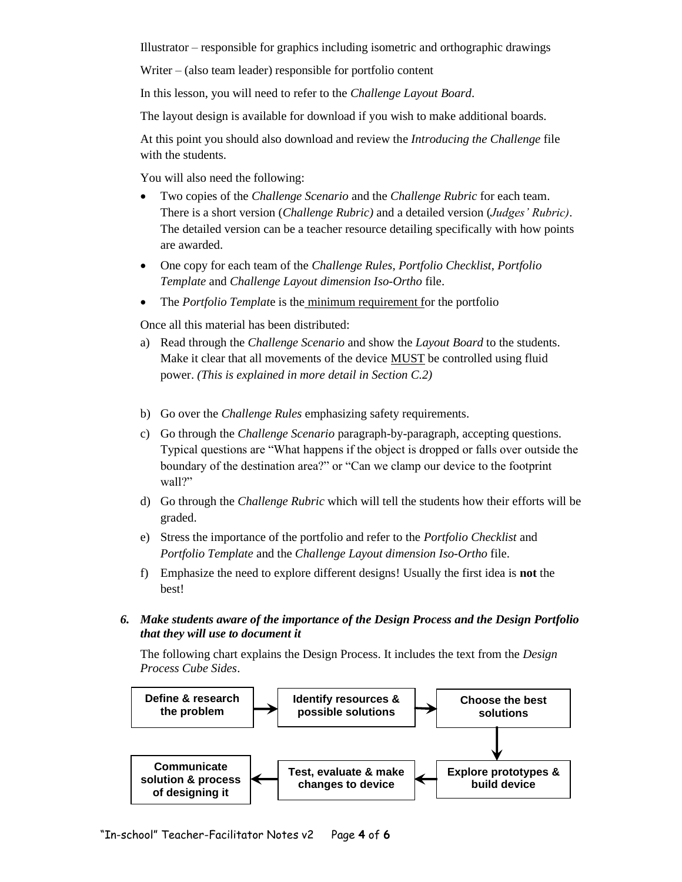Illustrator – responsible for graphics including isometric and orthographic drawings

Writer – (also team leader) responsible for portfolio content

In this lesson, you will need to refer to the *Challenge Layout Board*.

The layout design is available for download if you wish to make additional boards.

At this point you should also download and review the *Introducing the Challenge* file with the students.

You will also need the following:

- Two copies of the *Challenge Scenario* and the *Challenge Rubric* for each team. There is a short version (*Challenge Rubric)* and a detailed version (*Judges' Rubric)*. The detailed version can be a teacher resource detailing specifically with how points are awarded.
- One copy for each team of the *Challenge Rules*, *Portfolio Checklist*, *Portfolio Template* and *Challenge Layout dimension Iso-Ortho* file.
- The *Portfolio Template* is the minimum requirement for the portfolio

Once all this material has been distributed:

- a) Read through the *Challenge Scenario* and show the *Layout Board* to the students. Make it clear that all movements of the device **MUST** be controlled using fluid power. *(This is explained in more detail in Section C.2)*
- b) Go over the *Challenge Rules* emphasizing safety requirements.
- c) Go through the *Challenge Scenario* paragraph-by-paragraph, accepting questions. Typical questions are "What happens if the object is dropped or falls over outside the boundary of the destination area?" or "Can we clamp our device to the footprint wall?"
- d) Go through the *Challenge Rubric* which will tell the students how their efforts will be graded.
- e) Stress the importance of the portfolio and refer to the *Portfolio Checklist* and *Portfolio Template* and the *Challenge Layout dimension Iso-Ortho* file.
- f) Emphasize the need to explore different designs! Usually the first idea is **not** the best!
- *6. Make students aware of the importance of the Design Process and the Design Portfolio that they will use to document it*

The following chart explains the Design Process. It includes the text from the *Design Process Cube Sides*.

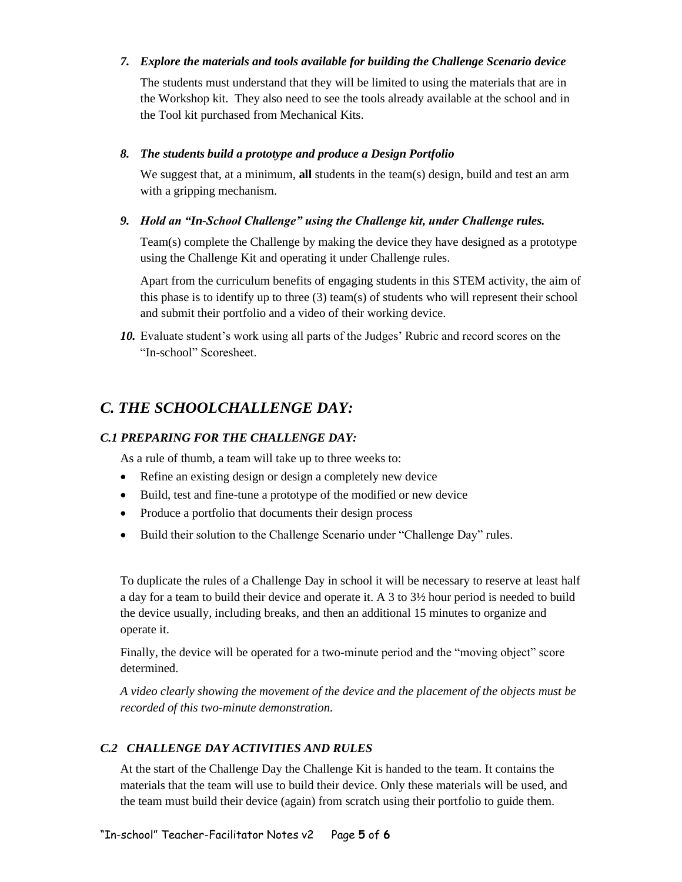## *7. Explore the materials and tools available for building the Challenge Scenario device*

The students must understand that they will be limited to using the materials that are in the Workshop kit. They also need to see the tools already available at the school and in the Tool kit purchased from Mechanical Kits.

## *8. The students build a prototype and produce a Design Portfolio*

We suggest that, at a minimum, **all** students in the team(s) design, build and test an arm with a gripping mechanism.

## *9. Hold an "In-School Challenge" using the Challenge kit, under Challenge rules.*

Team(s) complete the Challenge by making the device they have designed as a prototype using the Challenge Kit and operating it under Challenge rules.

Apart from the curriculum benefits of engaging students in this STEM activity, the aim of this phase is to identify up to three (3) team(s) of students who will represent their school and submit their portfolio and a video of their working device.

*10.* Evaluate student's work using all parts of the Judges' Rubric and record scores on the "In-school" Scoresheet.

## *C. THE SCHOOLCHALLENGE DAY:*

## *C.1 PREPARING FOR THE CHALLENGE DAY:*

As a rule of thumb, a team will take up to three weeks to:

- Refine an existing design or design a completely new device
- Build, test and fine-tune a prototype of the modified or new device
- Produce a portfolio that documents their design process
- Build their solution to the Challenge Scenario under "Challenge Day" rules.

To duplicate the rules of a Challenge Day in school it will be necessary to reserve at least half a day for a team to build their device and operate it. A 3 to 3½ hour period is needed to build the device usually, including breaks, and then an additional 15 minutes to organize and operate it.

Finally, the device will be operated for a two-minute period and the "moving object" score determined.

*A video clearly showing the movement of the device and the placement of the objects must be recorded of this two-minute demonstration.*

## *C.2 CHALLENGE DAY ACTIVITIES AND RULES*

At the start of the Challenge Day the Challenge Kit is handed to the team. It contains the materials that the team will use to build their device. Only these materials will be used, and the team must build their device (again) from scratch using their portfolio to guide them.